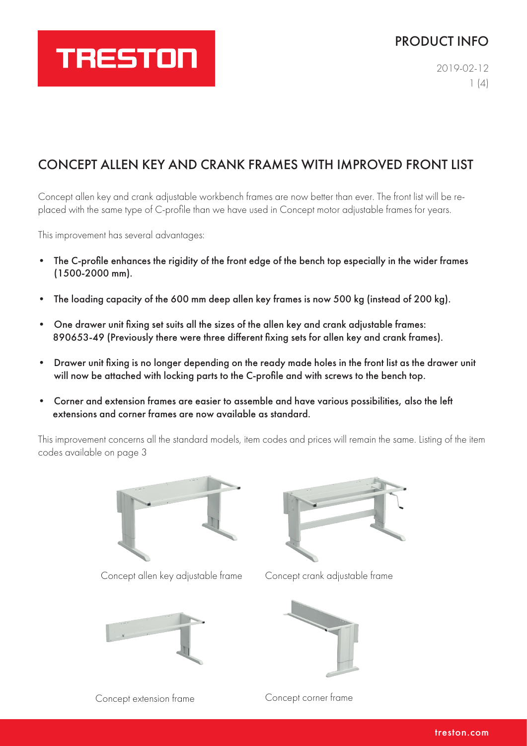## TRESTON

### PRODUCT INFO

2019-02-12  $1(4)$ 

## CONCEPT ALLEN KEY AND CRANK FRAMES WITH IMPROVED FRONT LIST

Concept allen key and crank adjustable workbench frames are now better than ever. The front list will be replaced with the same type of C-profile than we have used in Concept motor adjustable frames for years.

This improvement has several advantages:

- The C-profile enhances the rigidity of the front edge of the bench top especially in the wider frames (1500-2000 mm).
- The loading capacity of the 600 mm deep allen key frames is now 500 kg (instead of 200 kg).
- One drawer unit fixing set suits all the sizes of the allen key and crank adjustable frames: 890653-49 (Previously there were three different fixing sets for allen key and crank frames).
- Drawer unit fixing is no longer depending on the ready made holes in the front list as the drawer unit will now be attached with locking parts to the C-profile and with screws to the bench top.
- Corner and extension frames are easier to assemble and have various possibilities, also the left extensions and corner frames are now available as standard.

This improvement concerns all the standard models, item codes and prices will remain the same. Listing of the item codes available on page 3



Concept allen key adjustable frame Concept crank adjustable frame







Concept extension frame Concept corner frame

treston.com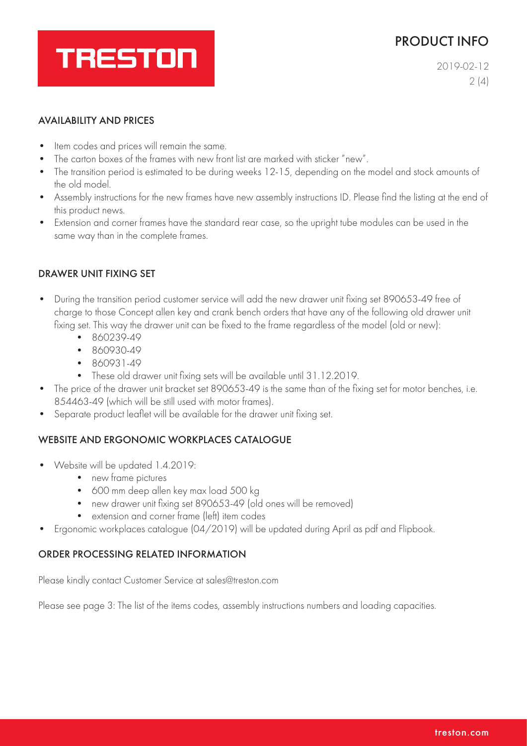### PRODUCT INFO

# **TRESTON**

2019-02-12  $2(4)$ 

#### AVAILABILITY AND PRICES

- Item codes and prices will remain the same.
- The carton boxes of the frames with new front list are marked with sticker "new".
- The transition period is estimated to be during weeks 12-15, depending on the model and stock amounts of the old model.
- Assembly instructions for the new frames have new assembly instructions ID. Please find the listing at the end of this product news.
- Extension and corner frames have the standard rear case, so the upright tube modules can be used in the same way than in the complete frames.

#### DRAWER UNIT FIXING SET

- During the transition period customer service will add the new drawer unit fixing set 890653-49 free of charge to those Concept allen key and crank bench orders that have any of the following old drawer unit fixing set. This way the drawer unit can be fixed to the frame regardless of the model (old or new):
	- 860239-49
	- 860930-49
	- 860931-49
	- These old drawer unit fixing sets will be available until 31.12.2019.
- The price of the drawer unit bracket set 890653-49 is the same than of the fixing set for motor benches, i.e. 854463-49 (which will be still used with motor frames).
- Separate product leaflet will be available for the drawer unit fixing set.

#### WEBSITE AND ERGONOMIC WORKPLACES CATALOGUE

- Website will be updated 1.4.2019:
	- new frame pictures
	- 600 mm deep allen key max load 500 kg
	- new drawer unit fixing set 890653-49 (old ones will be removed)
	- extension and corner frame (left) item codes
- Ergonomic workplaces catalogue (04/2019) will be updated during April as pdf and Flipbook.

#### ORDER PROCESSING RELATED INFORMATION

Please kindly contact Customer Service at sales@treston.com

Please see page 3: The list of the items codes, assembly instructions numbers and loading capacities.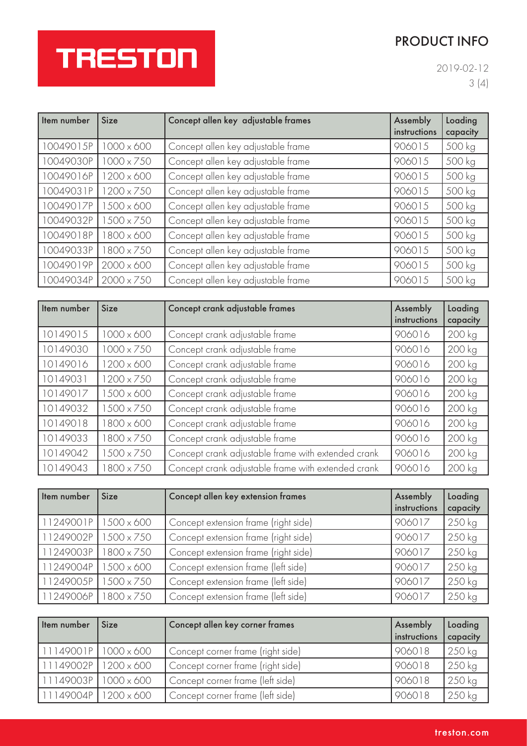## PRODUCT INFO

## **TRESTON**

2019-02-12 3 (4)

| Item number | <b>Size</b>       | Concept allen key adjustable frames | Assembly<br>instructions | Loading<br>capacity |
|-------------|-------------------|-------------------------------------|--------------------------|---------------------|
| 10049015P   | $1000 \times 600$ | Concept allen key adjustable frame  | 906015                   | 500 kg              |
| 10049030P   | $1000 \times 750$ | Concept allen key adjustable frame  | 906015                   | 500 kg              |
| 10049016P   | $1200 \times 600$ | Concept allen key adjustable frame  | 906015                   | 500 kg              |
| 10049031P   | 1200 x 750        | Concept allen key adjustable frame  | 906015                   | 500 kg              |
| 10049017P   | $1500 \times 600$ | Concept allen key adjustable frame  | 906015                   | 500 kg              |
| 10049032P   | 1500 x 750        | Concept allen key adjustable frame  | 906015                   | 500 kg              |
| 10049018P   | 1800 x 600        | Concept allen key adjustable frame  | 906015                   | 500 kg              |
| 10049033P   | 1800 x 750        | Concept allen key adjustable frame  | 906015                   | 500 kg              |
| 10049019P   | $2000 \times 600$ | Concept allen key adjustable frame  | 906015                   | 500 kg              |
| 10049034P   | $2000 \times 750$ | Concept allen key adjustable frame  | 906015                   | 500 kg              |

| Item number | <b>Size</b>       | Concept crank adjustable frames                    | Assembly<br>instructions | Loading<br>capacity |
|-------------|-------------------|----------------------------------------------------|--------------------------|---------------------|
| 10149015    | $1000 \times 600$ | Concept crank adjustable frame                     | 906016                   | 200 kg              |
| 10149030    | $1000 \times 750$ | Concept crank adjustable frame                     | 906016                   | 200 kg              |
| 10149016    | $1200 \times 600$ | Concept crank adjustable frame                     | 906016                   | 200 kg              |
| 10149031    | $1200 \times 750$ | Concept crank adjustable frame                     | 906016                   | 200 kg              |
| 10149017    | 1500 x 600        | Concept crank adjustable frame                     | 906016                   | 200 kg              |
| 10149032    | 1500 x 750        | Concept crank adjustable frame                     | 906016                   | 200 kg              |
| 10149018    | 1800 x 600        | Concept crank adjustable frame                     | 906016                   | 200 kg              |
| 10149033    | 1800 x 750        | Concept crank adjustable frame                     | 906016                   | 200 kg              |
| 10149042    | 1500 x 750        | Concept crank adjustable frame with extended crank | 906016                   | 200 kg              |
| 10149043    | 1800 x 750        | Concept crank adjustable frame with extended crank | 906016                   | 200 kg              |

| Item number | <b>Size</b>       | Concept allen key extension frames   | Assembly<br>instructions | Loading<br>capacity |
|-------------|-------------------|--------------------------------------|--------------------------|---------------------|
| 11249001P   | $1500 \times 600$ | Concept extension frame (right side) | 906017                   | 250 kg              |
| 11249002P   | $500 \times 750$  | Concept extension frame (right side) | 906017                   | 250 kg              |
| 11249003P   | 800 x 750         | Concept extension frame (right side) | 906017                   | 250 kg              |
| 11249004P   | $1500 \times 600$ | Concept extension frame (left side)  | 906017                   | 250 kg              |
| 11249005P   | 1500 x 750        | Concept extension frame (left side)  | 906017                   | 250 kg              |
| 11249006P   | 800 x 750         | Concept extension frame (left side)  | 906017                   | 250 kg              |

| Item number              | <b>Size</b> | Concept allen key corner frames   | Assembly<br>instructions | Loading<br>capacity |
|--------------------------|-------------|-----------------------------------|--------------------------|---------------------|
| $11149001P$ 1000 x 600   |             | Concept corner frame (right side) | 906018                   | 250 kg              |
| $11149002P$ 1200 x 600   |             | Concept corner frame (right side) | 906018                   | 250 kg              |
| $11149003P$   1000 x 600 |             | Concept corner frame (left side)  | 906018                   | 250 kg              |
| $11149004P$ 1200 x 600   |             | Concept corner frame (left side)  | 906018                   | 250 kg              |